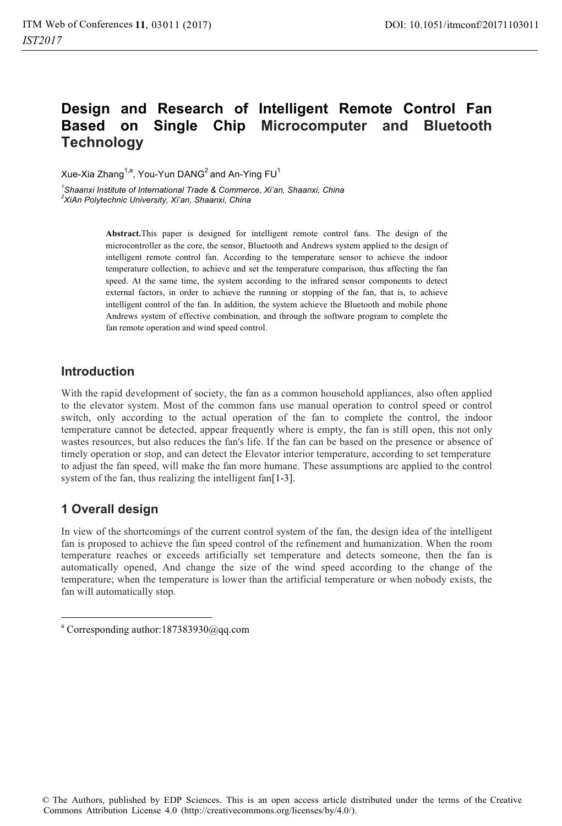# **Design and Research of Intelligent Remote Control Fan Based on Single Chip Microcomputer and Bluetooth Technology**

Xue-Xia Zhang<sup>1,a</sup>, You-Yun DANG<sup>2</sup> and An-Ying  $FU<sup>1</sup>$ 

*1 Shaanxi Institute of International Trade & Commerce, Xi'an, Shaanxi, China 2 XiAn Polytechnic University, Xi'an, Shaanxi, China* 

> **Abstract.**This paper is designed for intelligent remote control fans. The design of the microcontroller as the core, the sensor, Bluetooth and Andrews system applied to the design of intelligent remote control fan. According to the temperature sensor to achieve the indoor temperature collection, to achieve and set the temperature comparison, thus affecting the fan speed. At the same time, the system according to the infrared sensor components to detect external factors, in order to achieve the running or stopping of the fan, that is, to achieve intelligent control of the fan. In addition, the system achieve the Bluetooth and mobile phone Andrews system of effective combination, and through the software program to complete the fan remote operation and wind speed control.

### **Introduction**

With the rapid development of society, the fan as a common household appliances, also often applied to the elevator system. Most of the common fans use manual operation to control speed or control switch, only according to the actual operation of the fan to complete the control, the indoor temperature cannot be detected, appear frequently where is empty, the fan is still open, this not only wastes resources, but also reduces the fan's life. If the fan can be based on the presence or absence of timely operation or stop, and can detect the Elevator interior temperature, according to set temperature to adjust the fan speed, will make the fan more humane. These assumptions are applied to the control system of the fan, thus realizing the intelligent fan[1-3].

# **1 Overall design**

1

In view of the shortcomings of the current control system of the fan, the design idea of the intelligent fan is proposed to achieve the fan speed control of the refinement and humanization. When the room temperature reaches or exceeds artificially set temperature and detects someone, then the fan is automatically opened, And change the size of the wind speed according to the change of the temperature; when the temperature is lower than the artificial temperature or when nobody exists, the fan will automatically stop.

a Corresponding author:187383930@qq.com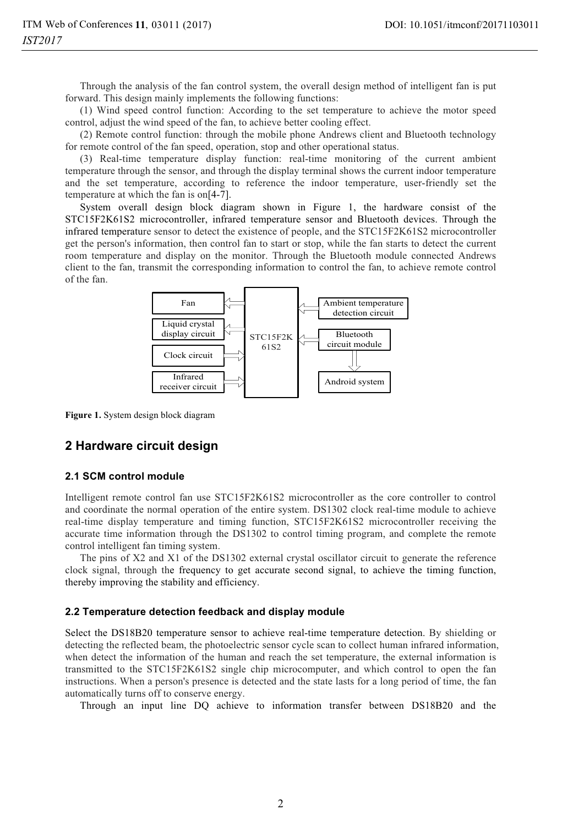Through the analysis of the fan control system, the overall design method of intelligent fan is put forward. This design mainly implements the following functions:

(1) Wind speed control function: According to the set temperature to achieve the motor speed control, adjust the wind speed of the fan, to achieve better cooling effect.

(2) Remote control function: through the mobile phone Andrews client and Bluetooth technology for remote control of the fan speed, operation, stop and other operational status.

(3) Real-time temperature display function: real-time monitoring of the current ambient temperature through the sensor, and through the display terminal shows the current indoor temperature and the set temperature, according to reference the indoor temperature, user-friendly set the temperature at which the fan is on[4-7].

System overall design block diagram shown in Figure 1, the hardware consist of the STC15F2K61S2 microcontroller, infrared temperature sensor and Bluetooth devices. Through the infrared temperature sensor to detect the existence of people, and the STC15F2K61S2 microcontroller get the person's information, then control fan to start or stop, while the fan starts to detect the current room temperature and display on the monitor. Through the Bluetooth module connected Andrews client to the fan, transmit the corresponding information to control the fan, to achieve remote control of the fan.



**Figure 1.** System design block diagram

### **2 Hardware circuit design**

#### **2.1 SCM control module**

Intelligent remote control fan use STC15F2K61S2 microcontroller as the core controller to control and coordinate the normal operation of the entire system. DS1302 clock real-time module to achieve real-time display temperature and timing function, STC15F2K61S2 microcontroller receiving the accurate time information through the DS1302 to control timing program, and complete the remote control intelligent fan timing system.

The pins of X2 and X1 of the DS1302 external crystal oscillator circuit to generate the reference clock signal, through the frequency to get accurate second signal, to achieve the timing function, thereby improving the stability and efficiency.

#### **2.2 Temperature detection feedback and display module**

Select the DS18B20 temperature sensor to achieve real-time temperature detection. By shielding or detecting the reflected beam, the photoelectric sensor cycle scan to collect human infrared information, when detect the information of the human and reach the set temperature, the external information is transmitted to the STC15F2K61S2 single chip microcomputer, and which control to open the fan instructions. When a person's presence is detected and the state lasts for a long period of time, the fan automatically turns off to conserve energy.

Through an input line DQ achieve to information transfer between DS18B20 and the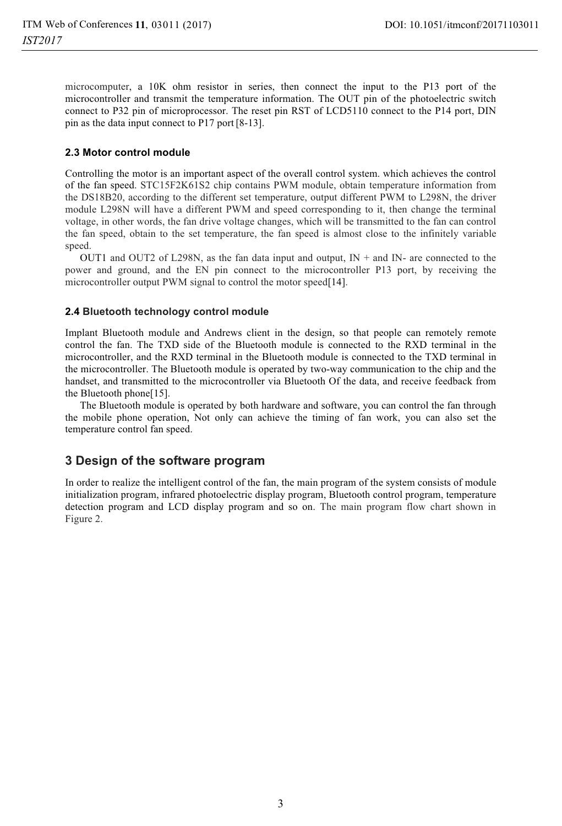microcomputer, a 10K ohm resistor in series, then connect the input to the P13 port of the microcontroller and transmit the temperature information. The OUT pin of the photoelectric switch connect to P32 pin of microprocessor. The reset pin RST of LCD5110 connect to the P14 port, DIN pin as the data input connect to P17 port [8-13].

#### **2.3 Motor control module**

Controlling the motor is an important aspect of the overall control system. which achieves the control of the fan speed. STC15F2K61S2 chip contains PWM module, obtain temperature information from the DS18B20, according to the different set temperature, output different PWM to L298N, the driver module L298N will have a different PWM and speed corresponding to it, then change the terminal voltage, in other words, the fan drive voltage changes, which will be transmitted to the fan can control the fan speed, obtain to the set temperature, the fan speed is almost close to the infinitely variable speed.

OUT1 and OUT2 of L298N, as the fan data input and output,  $IN +$  and  $IN -$  are connected to the power and ground, and the EN pin connect to the microcontroller P13 port, by receiving the microcontroller output PWM signal to control the motor speed[14].

#### **2.4 Bluetooth technology control module**

Implant Bluetooth module and Andrews client in the design, so that people can remotely remote control the fan. The TXD side of the Bluetooth module is connected to the RXD terminal in the microcontroller, and the RXD terminal in the Bluetooth module is connected to the TXD terminal in the microcontroller. The Bluetooth module is operated by two-way communication to the chip and the handset, and transmitted to the microcontroller via Bluetooth Of the data, and receive feedback from the Bluetooth phone[15].

The Bluetooth module is operated by both hardware and software, you can control the fan through the mobile phone operation, Not only can achieve the timing of fan work, you can also set the temperature control fan speed.

### **3 Design of the software program**

In order to realize the intelligent control of the fan, the main program of the system consists of module initialization program, infrared photoelectric display program, Bluetooth control program, temperature detection program and LCD display program and so on. The main program flow chart shown in Figure 2.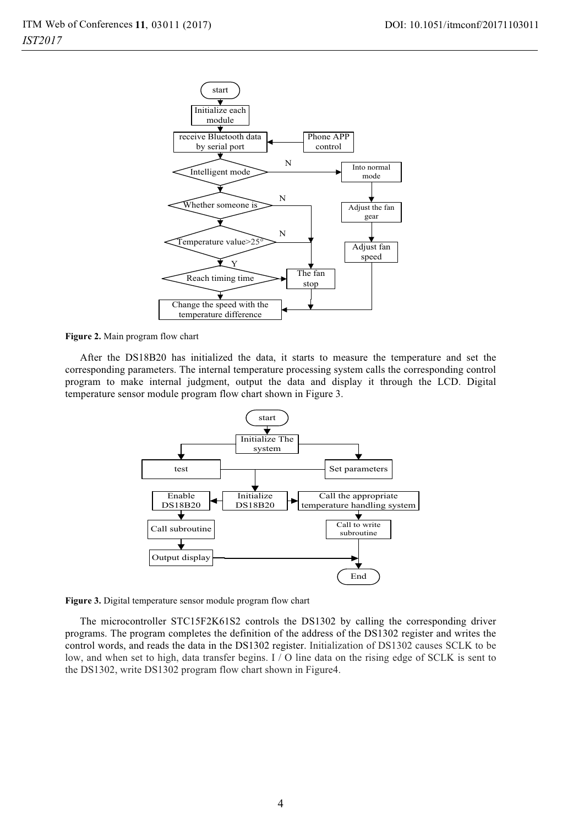

#### **Figure 2.** Main program flow chart

After the DS18B20 has initialized the data, it starts to measure the temperature and set the corresponding parameters. The internal temperature processing system calls the corresponding control program to make internal judgment, output the data and display it through the LCD. Digital temperature sensor module program flow chart shown in Figure 3.





The microcontroller STC15F2K61S2 controls the DS1302 by calling the corresponding driver programs. The program completes the definition of the address of the DS1302 register and writes the control words, and reads the data in the DS1302 register. Initialization of DS1302 causes SCLK to be low, and when set to high, data transfer begins. I / O line data on the rising edge of SCLK is sent to the DS1302, write DS1302 program flow chart shown in Figure4.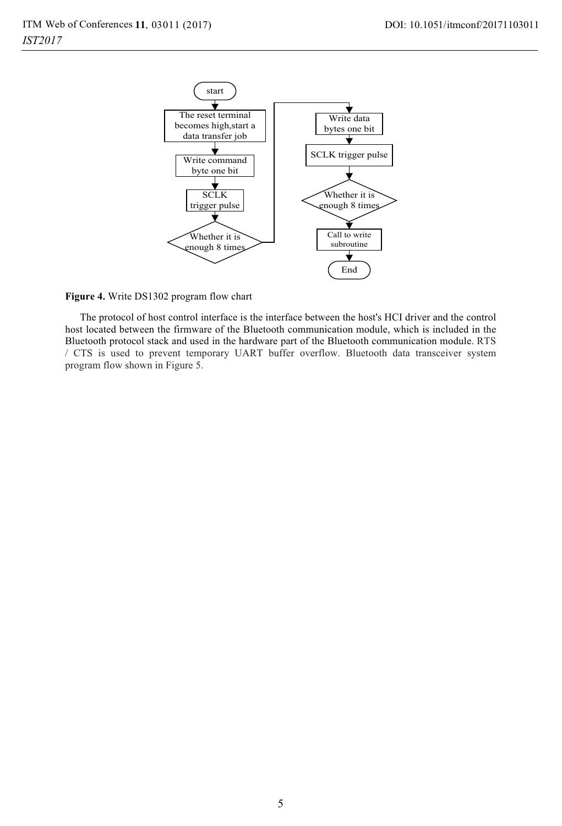

**Figure 4.** Write DS1302 program flow chart

The protocol of host control interface is the interface between the host's HCI driver and the control host located between the firmware of the Bluetooth communication module, which is included in the Bluetooth protocol stack and used in the hardware part of the Bluetooth communication module. RTS / CTS is used to prevent temporary UART buffer overflow. Bluetooth data transceiver system program flow shown in Figure 5.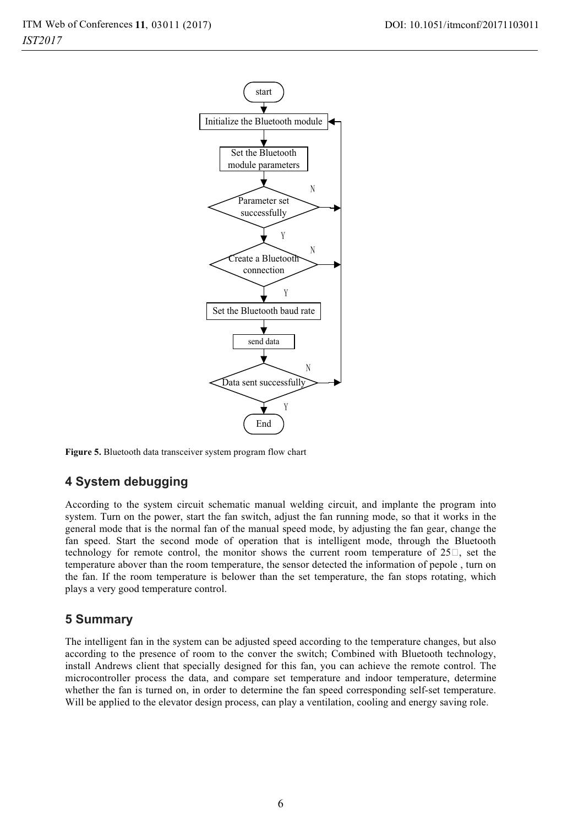

**Figure 5.** Bluetooth data transceiver system program flow chart

### **4 System debugging**

According to the system circuit schematic manual welding circuit, and implante the program into system. Turn on the power, start the fan switch, adjust the fan running mode, so that it works in the general mode that is the normal fan of the manual speed mode, by adjusting the fan gear, change the fan speed. Start the second mode of operation that is intelligent mode, through the Bluetooth technology for remote control, the monitor shows the current room temperature of  $25\Box$ , set the temperature abover than the room temperature, the sensor detected the information of pepole , turn on the fan. If the room temperature is belower than the set temperature, the fan stops rotating, which plays a very good temperature control.

### **5 Summary**

The intelligent fan in the system can be adjusted speed according to the temperature changes, but also according to the presence of room to the conver the switch; Combined with Bluetooth technology, install Andrews client that specially designed for this fan, you can achieve the remote control. The microcontroller process the data, and compare set temperature and indoor temperature, determine whether the fan is turned on, in order to determine the fan speed corresponding self-set temperature. Will be applied to the elevator design process, can play a ventilation, cooling and energy saving role.